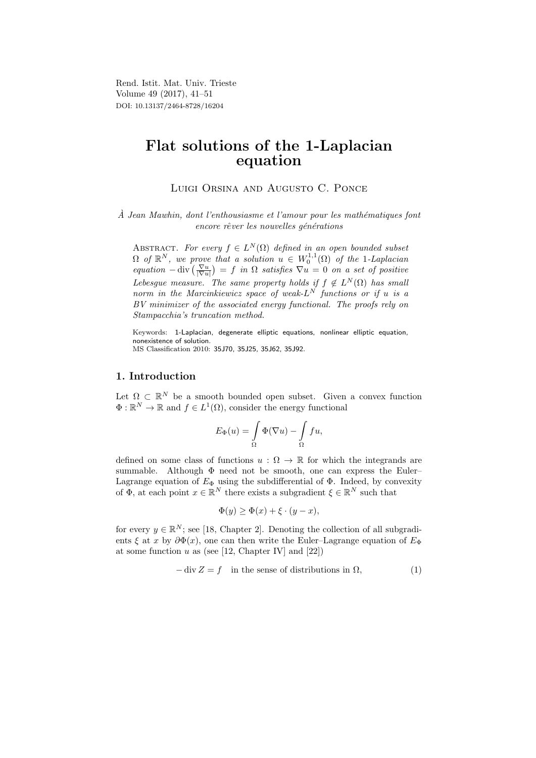Rend. Istit. Mat. Univ. Trieste Volume 49 (2017), 41–51 DOI: 10.13137/2464-8728/16204

# Flat solutions of the 1-Laplacian equation

Luigi Orsina and Augusto C. Ponce

 $\hat{A}$  Jean Mawhin, dont l'enthousiasme et l'amour pour les mathématiques font encore rêver les nouvelles générations

ABSTRACT. For every  $f \in L^N(\Omega)$  defined in an open bounded subset  $\Omega$  of  $\mathbb{R}^N$ , we prove that a solution  $u \in W_0^{1,1}(\Omega)$  of the 1-Laplacian equation  $-\text{div}\left(\frac{\nabla u}{|\nabla u|}\right) = f$  in  $\Omega$  satisfies  $\nabla u = 0$  on a set of positive Lebesgue measure. The same property holds if  $f \notin L^N(\Omega)$  has small norm in the Marcinkiewicz space of weak- $L^N$  functions or if u is a BV minimizer of the associated energy functional. The proofs rely on Stampacchia's truncation method.

Keywords: 1-Laplacian, degenerate elliptic equations, nonlinear elliptic equation, nonexistence of solution. MS Classification 2010: 35J70, 35J25, 35J62, 35J92.

## 1. Introduction

Let  $\Omega \subset \mathbb{R}^N$  be a smooth bounded open subset. Given a convex function  $\Phi: \mathbb{R}^N \to \mathbb{R}$  and  $f \in L^1(\Omega)$ , consider the energy functional

$$
E_{\Phi}(u) = \int_{\Omega} \Phi(\nabla u) - \int_{\Omega} f u,
$$

defined on some class of functions  $u : \Omega \to \mathbb{R}$  for which the integrands are summable. Although  $\Phi$  need not be smooth, one can express the Euler– Lagrange equation of  $E_{\Phi}$  using the subdifferential of  $\Phi$ . Indeed, by convexity of  $\Phi$ , at each point  $x \in \mathbb{R}^N$  there exists a subgradient  $\xi \in \mathbb{R}^N$  such that

$$
\Phi(y) \ge \Phi(x) + \xi \cdot (y - x),
$$

for every  $y \in \mathbb{R}^N$ ; see [18, Chapter 2]. Denoting the collection of all subgradients  $\xi$  at x by  $\partial \Phi(x)$ , one can then write the Euler–Lagrange equation of  $E_{\Phi}$ at some function  $u$  as (see [12, Chapter IV] and [22])

$$
-\operatorname{div} Z = f \quad \text{in the sense of distributions in } \Omega,\tag{1}
$$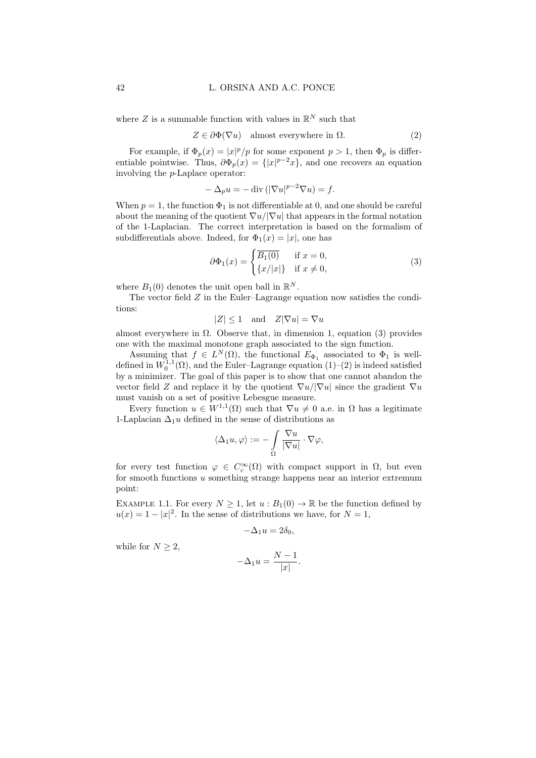#### 42 L. ORSINA AND A.C. PONCE

where  $Z$  is a summable function with values in  $\mathbb{R}^N$  such that

$$
Z \in \partial \Phi(\nabla u) \quad \text{almost everywhere in } \Omega. \tag{2}
$$

For example, if  $\Phi_p(x) = |x|^p/p$  for some exponent  $p > 1$ , then  $\Phi_p$  is differentiable pointwise. Thus,  $\partial \Phi_p(x) = \{ |x|^{p-2}x \}$ , and one recovers an equation involving the p-Laplace operator:

$$
-\Delta_p u = -\operatorname{div}\left(|\nabla u|^{p-2}\nabla u\right) = f.
$$

When  $p = 1$ , the function  $\Phi_1$  is not differentiable at 0, and one should be careful about the meaning of the quotient  $\nabla u/|\nabla u|$  that appears in the formal notation of the 1-Laplacian. The correct interpretation is based on the formalism of subdifferentials above. Indeed, for  $\Phi_1(x) = |x|$ , one has

$$
\partial \Phi_1(x) = \begin{cases} \overline{B_1(0)} & \text{if } x = 0, \\ \{x/|x|\} & \text{if } x \neq 0, \end{cases}
$$
 (3)

where  $B_1(0)$  denotes the unit open ball in  $\mathbb{R}^N$ .

The vector field Z in the Euler–Lagrange equation now satisfies the conditions:

 $|Z| \leq 1$  and  $Z|\nabla u| = \nabla u$ 

almost everywhere in  $\Omega$ . Observe that, in dimension 1, equation (3) provides one with the maximal monotone graph associated to the sign function.

Assuming that  $f \in L^N(\Omega)$ , the functional  $E_{\Phi_1}$  associated to  $\Phi_1$  is welldefined in  $W_0^{1,1}(\Omega)$ , and the Euler–Lagrange equation  $(1)-(2)$  is indeed satisfied by a minimizer. The goal of this paper is to show that one cannot abandon the vector field Z and replace it by the quotient  $\nabla u / |\nabla u|$  since the gradient  $\nabla u$ must vanish on a set of positive Lebesgue measure.

Every function  $u \in W^{1,1}(\Omega)$  such that  $\nabla u \neq 0$  a.e. in  $\Omega$  has a legitimate 1-Laplacian  $\Delta_1 u$  defined in the sense of distributions as

$$
\langle \Delta_1 u, \varphi \rangle := - \int\limits_{\Omega} \frac{\nabla u}{|\nabla u|} \cdot \nabla \varphi,
$$

for every test function  $\varphi \in C_c^{\infty}(\Omega)$  with compact support in  $\Omega$ , but even for smooth functions u something strange happens near an interior extremum point:

EXAMPLE 1.1. For every  $N \geq 1$ , let  $u : B_1(0) \to \mathbb{R}$  be the function defined by  $u(x) = 1 - |x|^2$ . In the sense of distributions we have, for  $N = 1$ ,

$$
-\Delta_1 u=2\delta_0,
$$

while for  $N \geq 2$ ,

$$
-\Delta_1 u = \frac{N-1}{|x|}.
$$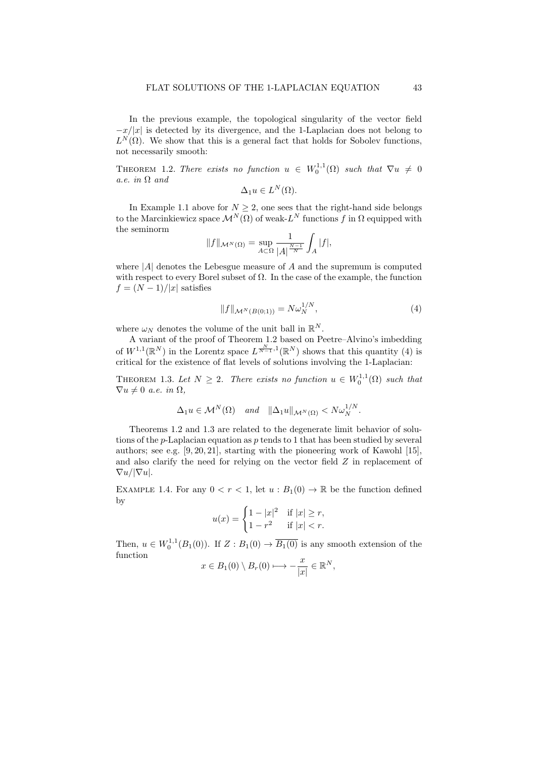In the previous example, the topological singularity of the vector field  $-x/|x|$  is detected by its divergence, and the 1-Laplacian does not belong to  $L^N(\Omega)$ . We show that this is a general fact that holds for Sobolev functions, not necessarily smooth:

THEOREM 1.2. There exists no function  $u \in W_0^{1,1}(\Omega)$  such that  $\nabla u \neq 0$ a.e. in  $\Omega$  and

$$
\Delta_1 u \in L^N(\Omega).
$$

In Example 1.1 above for  $N \geq 2$ , one sees that the right-hand side belongs to the Marcinkiewicz space  $\mathcal{M}^{N}(\Omega)$  of weak- $L^{N}$  functions f in  $\Omega$  equipped with the seminorm

$$
||f||_{\mathcal{M}^{N}(\Omega)} = \sup_{A \subset \Omega} \frac{1}{|A|^{\frac{N-1}{N}}} \int_{A} |f|,
$$

where  $|A|$  denotes the Lebesgue measure of A and the supremum is computed with respect to every Borel subset of  $\Omega$ . In the case of the example, the function  $f = (N-1)/|x|$  satisfies

$$
||f||_{\mathcal{M}^N(B(0;1))} = N\omega_N^{1/N},\tag{4}
$$

where  $\omega_N$  denotes the volume of the unit ball in  $\mathbb{R}^N$ .

A variant of the proof of Theorem 1.2 based on Peetre–Alvino's imbedding of  $W^{1,1}(\mathbb{R}^N)$  in the Lorentz space  $L^{\frac{N}{N-1},1}(\mathbb{R}^N)$  shows that this quantity (4) is critical for the existence of flat levels of solutions involving the 1-Laplacian:

THEOREM 1.3. Let  $N \geq 2$ . There exists no function  $u \in W_0^{1,1}(\Omega)$  such that  $\nabla u \neq 0$  a.e. in  $\Omega$ ,

$$
\Delta_1 u \in \mathcal{M}^N(\Omega) \quad \text{and} \quad \|\Delta_1 u\|_{\mathcal{M}^N(\Omega)} < N \omega_N^{1/N}.
$$

Theorems 1.2 and 1.3 are related to the degenerate limit behavior of solutions of the *p*-Laplacian equation as *p* tends to 1 that has been studied by several authors; see e.g. [9, 20, 21], starting with the pioneering work of Kawohl [15], and also clarify the need for relying on the vector field Z in replacement of  $\nabla u/|\nabla u|.$ 

EXAMPLE 1.4. For any  $0 < r < 1$ , let  $u : B_1(0) \to \mathbb{R}$  be the function defined by

$$
u(x) = \begin{cases} 1 - |x|^2 & \text{if } |x| \ge r, \\ 1 - r^2 & \text{if } |x| < r. \end{cases}
$$

Then,  $u \in W_0^{1,1}(B_1(0))$ . If  $Z : B_1(0) \to \overline{B_1(0)}$  is any smooth extension of the function

$$
x \in B_1(0) \setminus B_r(0) \longrightarrow -\frac{x}{|x|} \in \mathbb{R}^N,
$$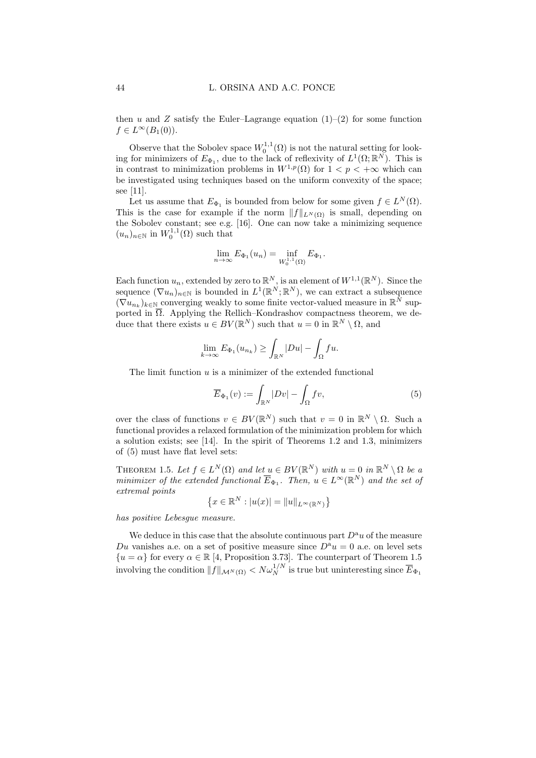then u and Z satisfy the Euler–Lagrange equation  $(1)$ – $(2)$  for some function  $f \in L^{\infty}(B_1(0)).$ 

Observe that the Sobolev space  $W_0^{1,1}(\Omega)$  is not the natural setting for looking for minimizers of  $E_{\Phi_1}$ , due to the lack of reflexivity of  $L^1(\Omega;\mathbb{R}^N)$ . This is in contrast to minimization problems in  $W^{1,p}(\Omega)$  for  $1 < p < +\infty$  which can be investigated using techniques based on the uniform convexity of the space; see [11].

Let us assume that  $E_{\Phi_1}$  is bounded from below for some given  $f \in L^N(\Omega)$ . This is the case for example if the norm  $||f||_{L^N(\Omega)}$  is small, depending on the Sobolev constant; see e.g. [16]. One can now take a minimizing sequence  $(u_n)_{n\in\mathbb{N}}$  in  $W_0^{1,1}(\Omega)$  such that

$$
\lim_{n \to \infty} E_{\Phi_1}(u_n) = \inf_{W_0^{1,1}(\Omega)} E_{\Phi_1}.
$$

Each function  $u_n$ , extended by zero to  $\mathbb{R}^N$ , is an element of  $W^{1,1}(\mathbb{R}^N)$ . Since the sequence  $(\nabla u_n)_{n\in\mathbb{N}}$  is bounded in  $L^1(\mathbb{R}^N;\mathbb{R}^N)$ , we can extract a subsequence  $(\nabla u_{n_k})_{k \in \mathbb{N}}$  converging weakly to some finite vector-valued measure in  $\mathbb{R}^N$  supported in  $\overline{\Omega}$ . Applying the Rellich–Kondrashov compactness theorem, we deduce that there exists  $u \in BV(\mathbb{R}^N)$  such that  $u = 0$  in  $\mathbb{R}^N \setminus \Omega$ , and

$$
\lim_{k \to \infty} E_{\Phi_1}(u_{n_k}) \ge \int_{\mathbb{R}^N} |Du| - \int_{\Omega} fu.
$$

The limit function  $u$  is a minimizer of the extended functional

$$
\overline{E}_{\Phi_1}(v) := \int_{\mathbb{R}^N} |Dv| - \int_{\Omega} fv,
$$
\n(5)

over the class of functions  $v \in BV(\mathbb{R}^N)$  such that  $v = 0$  in  $\mathbb{R}^N \setminus \Omega$ . Such a functional provides a relaxed formulation of the minimization problem for which a solution exists; see [14]. In the spirit of Theorems 1.2 and 1.3, minimizers of (5) must have flat level sets:

THEOREM 1.5. Let  $f \in L^N(\Omega)$  and let  $u \in BV(\mathbb{R}^N)$  with  $u = 0$  in  $\mathbb{R}^N \setminus \Omega$  be a minimizer of the extended functional  $\overline{E}_{\Phi_1}$ . Then,  $u \in L^{\infty}(\mathbb{R}^N)$  and the set of extremal points

$$
\{x \in \mathbb{R}^N : |u(x)| = ||u||_{L^{\infty}(\mathbb{R}^N)}\}
$$

has positive Lebesgue measure.

We deduce in this case that the absolute continuous part  $D^a u$  of the measure Du vanishes a.e. on a set of positive measure since  $D^a u = 0$  a.e. on level sets  ${u = \alpha}$  for every  $\alpha \in \mathbb{R}$  [4, Proposition 3.73]. The counterpart of Theorem 1.5 involving the condition  $||f||_{\mathcal{M}^N(\Omega)} < N \omega_N^{1/N}$  is true but uninteresting since  $\overline{E}_{\Phi_1}$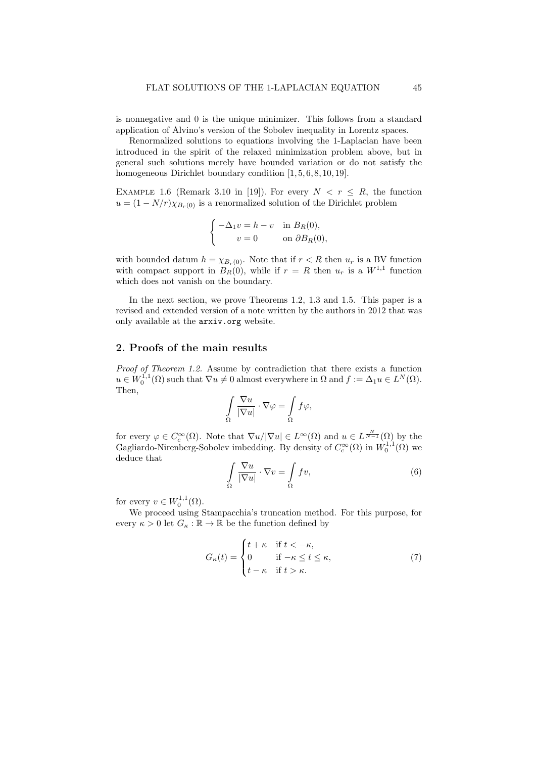is nonnegative and 0 is the unique minimizer. This follows from a standard application of Alvino's version of the Sobolev inequality in Lorentz spaces.

Renormalized solutions to equations involving the 1-Laplacian have been introduced in the spirit of the relaxed minimization problem above, but in general such solutions merely have bounded variation or do not satisfy the homogeneous Dirichlet boundary condition  $[1, 5, 6, 8, 10, 19]$ .

EXAMPLE 1.6 (Remark 3.10 in [19]). For every  $N < r \le R$ , the function  $u = (1 - N/r)\chi_{B_r(0)}$  is a renormalized solution of the Dirichlet problem

$$
\begin{cases}\n-\Delta_1 v = h - v & \text{in } B_R(0), \\
v = 0 & \text{on } \partial B_R(0),\n\end{cases}
$$

with bounded datum  $h = \chi_{B_r(0)}$ . Note that if  $r < R$  then  $u_r$  is a BV function with compact support in  $B_R(0)$ , while if  $r = R$  then  $u_r$  is a  $W^{1,1}$  function which does not vanish on the boundary.

In the next section, we prove Theorems 1.2, 1.3 and 1.5. This paper is a revised and extended version of a note written by the authors in 2012 that was only available at the arxiv.org website.

### 2. Proofs of the main results

Proof of Theorem 1.2. Assume by contradiction that there exists a function  $u \in W_0^{1,1}(\Omega)$  such that  $\nabla u \neq 0$  almost everywhere in  $\Omega$  and  $f := \Delta_1 u \in L^N(\Omega)$ . Then,

$$
\int_{\Omega} \frac{\nabla u}{|\nabla u|} \cdot \nabla \varphi = \int_{\Omega} f \varphi,
$$

for every  $\varphi \in C_c^{\infty}(\Omega)$ . Note that  $\nabla u / |\nabla u| \in L^{\infty}(\Omega)$  and  $u \in L^{\frac{N}{N-1}}(\Omega)$  by the Gagliardo-Nirenberg-Sobolev imbedding. By density of  $C_c^{\infty}(\Omega)$  in  $W_0^{1,1}(\Omega)$  we deduce that

$$
\int_{\Omega} \frac{\nabla u}{|\nabla u|} \cdot \nabla v = \int_{\Omega} fv,
$$
\n(6)

for every  $v \in W_0^{1,1}(\Omega)$ .

We proceed using Stampacchia's truncation method. For this purpose, for every  $\kappa>0$  let  $G_\kappa:\mathbb{R}\to\mathbb{R}$  be the function defined by

$$
G_{\kappa}(t) = \begin{cases} t + \kappa & \text{if } t < -\kappa, \\ 0 & \text{if } -\kappa \le t \le \kappa, \\ t - \kappa & \text{if } t > \kappa. \end{cases}
$$
 (7)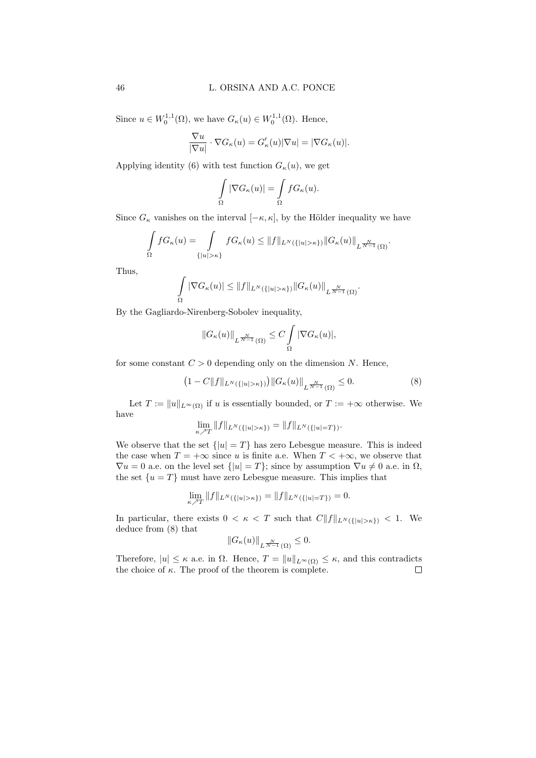Since  $u \in W_0^{1,1}(\Omega)$ , we have  $G_{\kappa}(u) \in W_0^{1,1}(\Omega)$ . Hence,

$$
\frac{\nabla u}{|\nabla u|} \cdot \nabla G_{\kappa}(u) = G'_{\kappa}(u)|\nabla u| = |\nabla G_{\kappa}(u)|.
$$

Applying identity (6) with test function  $G_{\kappa}(u)$ , we get

$$
\int\limits_{\Omega}|\nabla G_\kappa(u)|=\int\limits_{\Omega}fG_\kappa(u).
$$

Since  $G_{\kappa}$  vanishes on the interval  $[-\kappa, \kappa]$ , by the Hölder inequality we have

$$
\int_{\Omega} f G_{\kappa}(u) = \int_{\{|u|>\kappa\}} f G_{\kappa}(u) \leq ||f||_{L^{N}(\{|u|>\kappa\})} ||G_{\kappa}(u)||_{L^{\frac{N}{N-1}}(\Omega)}.
$$

Thus,

$$
\int_{\Omega} |\nabla G_{\kappa}(u)| \leq ||f||_{L^{N}(\{|u|>\kappa\})} ||G_{\kappa}(u)||_{L^{\frac{N}{N-1}}(\Omega)}.
$$

By the Gagliardo-Nirenberg-Sobolev inequality,

$$
||G_{\kappa}(u)||_{L^{\frac{N}{N-1}}(\Omega)} \leq C \int_{\Omega} |\nabla G_{\kappa}(u)|,
$$

for some constant  $C > 0$  depending only on the dimension N. Hence,

$$
(1 - C||f||_{L^N(\{|u|>\kappa\})}) ||G_\kappa(u)||_{L^{\frac{N}{N-1}}(\Omega)} \le 0.
$$
 (8)

Let  $T := ||u||_{L^{\infty}(\Omega)}$  if u is essentially bounded, or  $T := +\infty$  otherwise. We have

$$
\lim_{\kappa \nearrow T} ||f||_{L^N(\{|u| > \kappa\})} = ||f||_{L^N(\{|u| = T\})}.
$$

We observe that the set  $\{|u|=T\}$  has zero Lebesgue measure. This is indeed the case when  $T = +\infty$  since u is finite a.e. When  $T < +\infty$ , we observe that  $\nabla u = 0$  a.e. on the level set  $\{|u| = T\}$ ; since by assumption  $\nabla u \neq 0$  a.e. in  $\Omega$ , the set  $\{u = T\}$  must have zero Lebesgue measure. This implies that

$$
\lim_{\kappa \nearrow T} \|f\|_{L^N(\{|u|>\kappa\})} = \|f\|_{L^N(\{|u|=T\})} = 0.
$$

In particular, there exists  $0 < \kappa < T$  such that  $C||f||_{L^N(\{|u|>\kappa\})} < 1$ . We deduce from (8) that

$$
||G_{\kappa}(u)||_{L^{\frac{N}{N-1}}(\Omega)} \leq 0.
$$

Therefore,  $|u| \leq \kappa$  a.e. in  $\Omega$ . Hence,  $T = ||u||_{L^{\infty}(\Omega)} \leq \kappa$ , and this contradicts the choice of  $\kappa$ . The proof of the theorem is complete.  $\Box$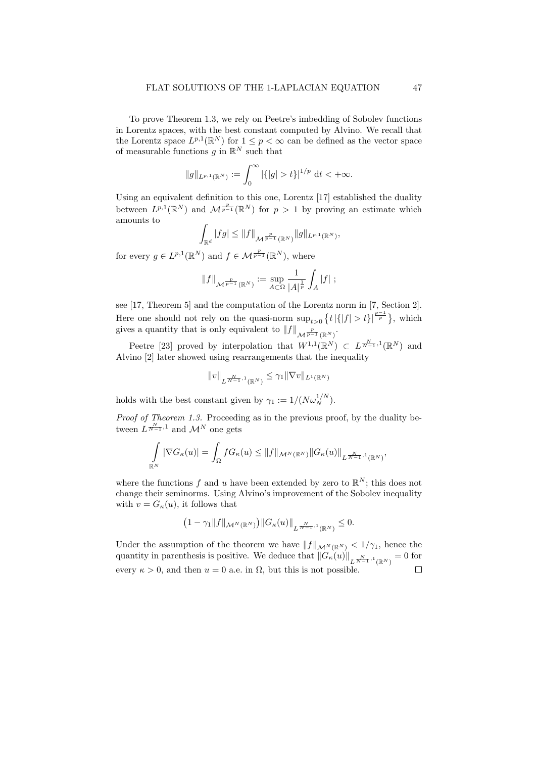To prove Theorem 1.3, we rely on Peetre's imbedding of Sobolev functions in Lorentz spaces, with the best constant computed by Alvino. We recall that the Lorentz space  $L^{p,1}(\mathbb{R}^N)$  for  $1 \leq p < \infty$  can be defined as the vector space of measurable functions g in  $\mathbb{R}^N$  such that

$$
||g||_{L^{p,1}(\mathbb{R}^N)} := \int_0^\infty |\{|g| > t\}|^{1/p} dt < +\infty.
$$

Using an equivalent definition to this one, Lorentz [17] established the duality between  $L^{p,1}(\mathbb{R}^N)$  and  $\mathcal{M}^{\frac{p}{p-1}}(\mathbb{R}^N)$  for  $p>1$  by proving an estimate which amounts to

$$
\int_{\mathbb{R}^d} |fg| \leq ||f||_{\mathcal{M}^{\frac{p}{p-1}}(\mathbb{R}^N)} ||g||_{L^{p,1}(\mathbb{R}^N)},
$$

for every  $g \in L^{p,1}(\mathbb{R}^N)$  and  $f \in \mathcal{M}^{\frac{p}{p-1}}(\mathbb{R}^N)$ , where

$$
\|f\|_{\mathcal M^{\frac{p}{p-1}}(\mathbb R^N)}:=\sup_{A\subset\Omega}\frac{1}{\left|A\right|^{\frac 1p}}\int_A\left|f\right|\,;
$$

see [17, Theorem 5] and the computation of the Lorentz norm in [7, Section 2]. Here one should not rely on the quasi-norm  $\sup_{t>0} \{t | |f| > t\}^{\frac{p-1}{p}}$ , which gives a quantity that is only equivalent to  $||f||_{\mathcal{M}^{\frac{p}{p-1}}(\mathbb{R}^N)}$ .

Peetre [23] proved by interpolation that  $W^{1,1}(\mathbb{R}^N) \subset L^{\frac{N}{N-1},1}(\mathbb{R}^N)$  and Alvino [2] later showed using rearrangements that the inequality

$$
||v||_{L^{\frac{N}{N-1},1}(\mathbb{R}^N)} \leq \gamma_1 ||\nabla v||_{L^1(\mathbb{R}^N)}
$$

holds with the best constant given by  $\gamma_1 := 1/(N\omega_N^{1/N})$ .

Proof of Theorem 1.3. Proceeding as in the previous proof, by the duality between  $L^{\frac{N}{N-1},1}$  and  $\mathcal{M}^N$  one gets

$$
\int_{\mathbb{R}^N} |\nabla G_{\kappa}(u)| = \int_{\Omega} f G_{\kappa}(u) \leq ||f||_{\mathcal{M}^N(\mathbb{R}^N)} ||G_{\kappa}(u)||_{L^{\frac{N}{N-1},1}(\mathbb{R}^N)},
$$

where the functions f and u have been extended by zero to  $\mathbb{R}^N$ ; this does not change their seminorms. Using Alvino's improvement of the Sobolev inequality with  $v = G_{\kappa}(u)$ , it follows that

$$
(1-\gamma_1\|f\|_{\mathcal{M}^N(\mathbb{R}^N)})\|G_\kappa(u)\|_{L^{\frac{N}{N-1},1}(\mathbb{R}^N)}\leq 0.
$$

Under the assumption of the theorem we have  $||f||_{\mathcal{M}^{N}(\mathbb{R}^{N})} < 1/\gamma_{1}$ , hence the quantity in parenthesis is positive. We deduce that  $||G_{\kappa}(u)||_{L^{\frac{N}{N-1},1}(\mathbb{R}^N)}=0$  for every  $\kappa > 0$ , and then  $u = 0$  a.e. in  $\Omega$ , but this is not possible.  $\Box$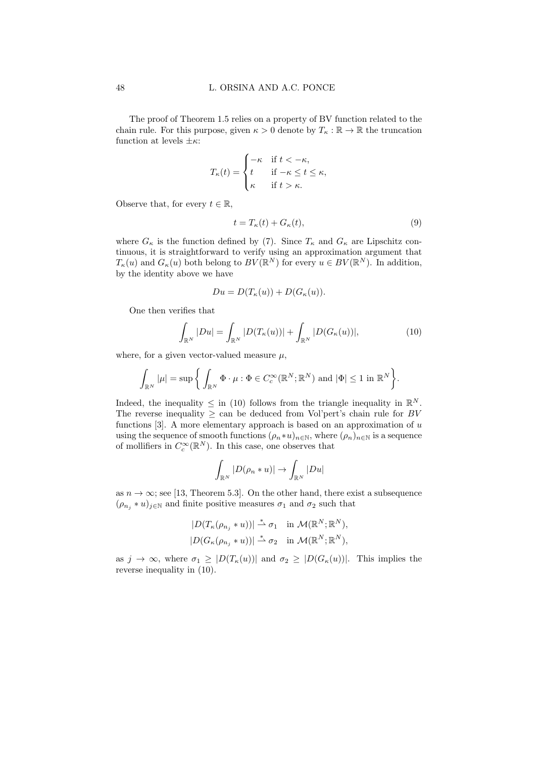The proof of Theorem 1.5 relies on a property of BV function related to the chain rule. For this purpose, given  $\kappa > 0$  denote by  $T_{\kappa} : \mathbb{R} \to \mathbb{R}$  the truncation function at levels  $\pm \kappa$ :

$$
T_{\kappa}(t) = \begin{cases} -\kappa & \text{if } t < -\kappa, \\ t & \text{if } -\kappa \le t \le \kappa, \\ \kappa & \text{if } t > \kappa. \end{cases}
$$

Observe that, for every  $t \in \mathbb{R}$ ,

$$
t = T_{\kappa}(t) + G_{\kappa}(t),\tag{9}
$$

where  $G_{\kappa}$  is the function defined by (7). Since  $T_{\kappa}$  and  $G_{\kappa}$  are Lipschitz continuous, it is straightforward to verify using an approximation argument that  $T_{\kappa}(u)$  and  $G_{\kappa}(u)$  both belong to  $BV(\mathbb{R}^N)$  for every  $u \in BV(\mathbb{R}^N)$ . In addition, by the identity above we have

$$
Du = D(T_{\kappa}(u)) + D(G_{\kappa}(u)).
$$

One then verifies that

$$
\int_{\mathbb{R}^N} |Du| = \int_{\mathbb{R}^N} |D(T_{\kappa}(u))| + \int_{\mathbb{R}^N} |D(G_{\kappa}(u))|,
$$
\n(10)

where, for a given vector-valued measure  $\mu$ ,

$$
\int_{\mathbb{R}^N} |\mu| = \sup \bigg\{ \int_{\mathbb{R}^N} \Phi \cdot \mu : \Phi \in C_c^{\infty}(\mathbb{R}^N; \mathbb{R}^N) \text{ and } |\Phi| \leq 1 \text{ in } \mathbb{R}^N \bigg\}.
$$

Indeed, the inequality  $\leq$  in (10) follows from the triangle inequality in  $\mathbb{R}^{N}$ . The reverse inequality  $\geq$  can be deduced from Vol'pert's chain rule for BV functions  $[3]$ . A more elementary approach is based on an approximation of u using the sequence of smooth functions  $(\rho_n * u)_{n \in \mathbb{N}}$ , where  $(\rho_n)_{n \in \mathbb{N}}$  is a sequence of mollifiers in  $C_c^{\infty}(\mathbb{R}^N)$ . In this case, one observes that

$$
\int_{\mathbb{R}^N} |D(\rho_n * u)| \to \int_{\mathbb{R}^N} |Du|
$$

as  $n \to \infty$ ; see [13, Theorem 5.3]. On the other hand, there exist a subsequence  $(\rho_{n_j} * u)_{j \in \mathbb{N}}$  and finite positive measures  $\sigma_1$  and  $\sigma_2$  such that

$$
|D(T_{\kappa}(\rho_{n_j} * u))| \stackrel{*}{\rightharpoonup} \sigma_1 \quad \text{in } \mathcal{M}(\mathbb{R}^N; \mathbb{R}^N),
$$
  

$$
|D(G_{\kappa}(\rho_{n_j} * u))| \stackrel{*}{\rightharpoonup} \sigma_2 \quad \text{in } \mathcal{M}(\mathbb{R}^N; \mathbb{R}^N),
$$

as  $j \to \infty$ , where  $\sigma_1 \geq |D(T_{\kappa}(u))|$  and  $\sigma_2 \geq |D(G_{\kappa}(u))|$ . This implies the reverse inequality in (10).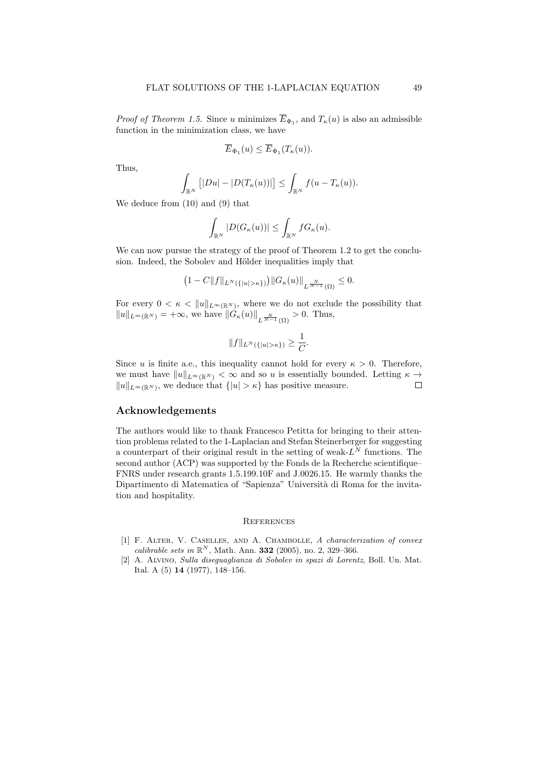*Proof of Theorem 1.5.* Since u minimizes  $E_{\Phi_1}$ , and  $T_{\kappa}(u)$  is also an admissible function in the minimization class, we have

$$
\overline{E}_{\Phi_1}(u) \leq \overline{E}_{\Phi_1}(T_{\kappa}(u)).
$$

Thus,

$$
\int_{\mathbb{R}^N} \left[ |Du| - |D(T_{\kappa}(u))| \right] \leq \int_{\mathbb{R}^N} f(u - T_{\kappa}(u)).
$$

We deduce from (10) and (9) that

$$
\int_{\mathbb{R}^N} |D(G_{\kappa}(u))| \leq \int_{\mathbb{R}^N} f G_{\kappa}(u).
$$

We can now pursue the strategy of the proof of Theorem 1.2 to get the conclusion. Indeed, the Sobolev and Hölder inequalities imply that

$$
(1 - C||f||_{L^N(\{|u| > \kappa\})}) ||G_{\kappa}(u)||_{L^{\frac{N}{N-1}}(\Omega)} \leq 0.
$$

For every  $0 < \kappa < ||u||_{L^{\infty}(\mathbb{R}^N)}$ , where we do not exclude the possibility that  $||u||_{L^{\infty}(\mathbb{R}^N)} = +\infty$ , we have  $||G_{\kappa}(u)||_{L^{\frac{N}{N-1}}(\Omega)} > 0$ . Thus,

$$
||f||_{L^N(\{|u|>\kappa\})}\geq \frac{1}{C}.
$$

Since u is finite a.e., this inequality cannot hold for every  $\kappa > 0$ . Therefore, we must have  $||u||_{L^{\infty}(\mathbb{R}^N)} < \infty$  and so u is essentially bounded. Letting  $\kappa \to$  $\Box$  $||u||_{L^{\infty}(\mathbb{R}^N)}$ , we deduce that  $\{|u| > \kappa\}$  has positive measure.

#### Acknowledgements

The authors would like to thank Francesco Petitta for bringing to their attention problems related to the 1-Laplacian and Stefan Steinerberger for suggesting a counterpart of their original result in the setting of weak- $L^N$  functions. The second author (ACP) was supported by the Fonds de la Recherche scientifique-FNRS under research grants 1.5.199.10F and J.0026.15. He warmly thanks the Dipartimento di Matematica of "Sapienza" Università di Roma for the invitation and hospitality.

#### **REFERENCES**

- [1] F. Alter, V. Caselles, and A. Chambolle, A characterization of convex calibrable sets in  $\mathbb{R}^N$ , Math. Ann. **332** (2005), no. 2, 329-366.
- [2] A. Alvino, Sulla diseguaglianza di Sobolev in spazi di Lorentz, Boll. Un. Mat. Ital. A (5) 14 (1977), 148–156.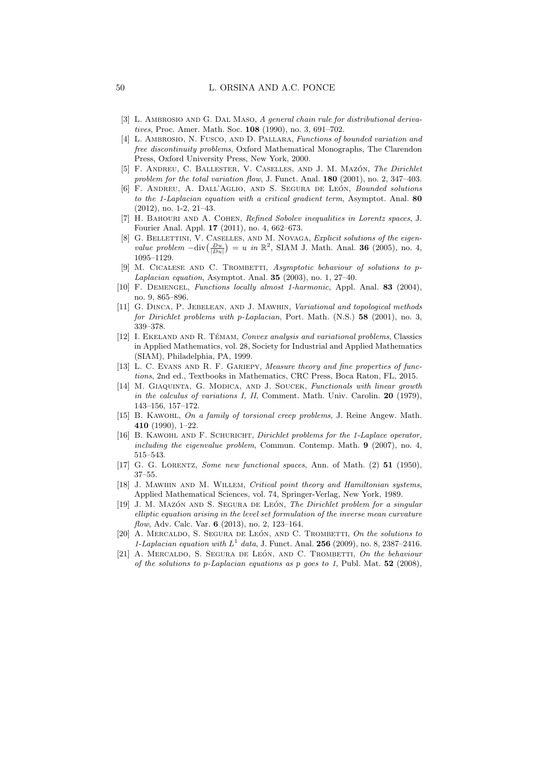- [3] L. AMBROSIO AND G. DAL MASO, A general chain rule for distributional derivatives, Proc. Amer. Math. Soc. 108 (1990), no. 3, 691–702.
- [4] L. Ambrosio, N. Fusco, and D. Pallara, Functions of bounded variation and free discontinuity problems, Oxford Mathematical Monographs, The Clarendon Press, Oxford University Press, New York, 2000.
- [5] F. ANDREU, C. BALLESTER, V. CASELLES, AND J. M. MAZÓN, The Dirichlet problem for the total variation flow, J. Funct. Anal. **180** (2001), no. 2, 347–403.
- [6] F. ANDREU, A. DALL'AGLIO, AND S. SEGURA DE LEÓN, Bounded solutions to the 1-Laplacian equation with a critical gradient term, Asymptot. Anal. 80 (2012), no. 1-2, 21–43.
- [7] H. Bahouri and A. Cohen, Refined Sobolev inequalities in Lorentz spaces, J. Fourier Anal. Appl. 17 (2011), no. 4, 662–673.
- [8] G. BELLETTINI, V. CASELLES, AND M. NOVAGA, *Explicit solutions of the eigen*value problem  $-\text{div}\left(\frac{Du}{|Du|}\right) = u$  in  $\mathbb{R}^2$ , SIAM J. Math. Anal. 36 (2005), no. 4, 1095–1129.
- $M.$  CICALESE AND C. TROMBETTI, Asymptotic behaviour of solutions to p-Laplacian equation, Asymptot. Anal. 35 (2003), no. 1, 27–40.
- [10] F. Demengel, Functions locally almost 1-harmonic, Appl. Anal. 83 (2004), no. 9, 865–896.
- [11] G. DINCA, P. JEBELEAN, AND J. MAWHIN, Variational and topological methods for Dirichlet problems with p-Laplacian, Port. Math. (N.S.) 58 (2001), no. 3, 339–378.
- [12] I. EKELAND AND R. TÉMAM, Convex analysis and variational problems, Classics in Applied Mathematics, vol. 28, Society for Industrial and Applied Mathematics (SIAM), Philadelphia, PA, 1999.
- [13] L. C. EVANS AND R. F. GARIEPY, *Measure theory and fine properties of func*tions, 2nd ed., Textbooks in Mathematics, CRC Press, Boca Raton, FL, 2015.
- [14] M. GIAQUINTA, G. MODICA, AND J. SOUCEK, Functionals with linear growth in the calculus of variations I, II, Comment. Math. Univ. Carolin. 20 (1979), 143–156, 157–172.
- [15] B. KAWOHL, On a family of torsional creep problems, J. Reine Angew. Math. 410 (1990), 1–22.
- [16] B. Kawohl and F. Schuricht, Dirichlet problems for the 1-Laplace operator, including the eigenvalue problem, Commun. Contemp. Math. 9 (2007), no. 4, 515–543.
- [17] G. G. Lorentz, Some new functional spaces, Ann. of Math. (2) 51 (1950), 37–55.
- [18] J. Mawhin and M. Willem, Critical point theory and Hamiltonian systems, Applied Mathematical Sciences, vol. 74, Springer-Verlag, New York, 1989.
- [19] J. M. MAZÓN AND S. SEGURA DE LEÓN, The Dirichlet problem for a singular elliptic equation arising in the level set formulation of the inverse mean curvature flow, Adv. Calc. Var. 6 (2013), no. 2, 123–164.
- $[20]$  A. MERCALDO, S. SEGURA DE LEÓN, AND C. TROMBETTI, On the solutions to 1-Laplacian equation with  $L^1$  data, J. Funct. Anal. **256** (2009), no. 8, 2387-2416.
- [21] A. MERCALDO, S. SEGURA DE LEÓN, AND C. TROMBETTI, On the behaviour of the solutions to p-Laplacian equations as p goes to 1, Publ. Mat.  $52$  (2008),